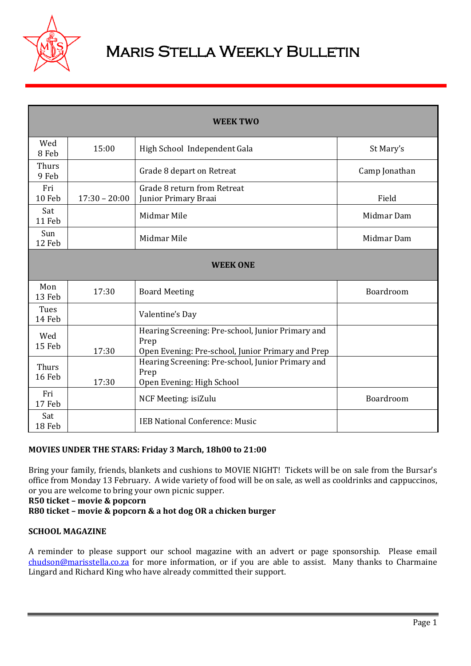

# **MARIS STELLA WEEKLY BULLETIN**

| <b>WEEK TWO</b> |                 |                                                                                                                |               |
|-----------------|-----------------|----------------------------------------------------------------------------------------------------------------|---------------|
| Wed<br>8 Feb    | 15:00           | High School Independent Gala                                                                                   | St Mary's     |
| Thurs<br>9 Feb  |                 | Grade 8 depart on Retreat                                                                                      | Camp Jonathan |
| Fri<br>10 Feb   | $17:30 - 20:00$ | Grade 8 return from Retreat<br>Junior Primary Braai                                                            | Field         |
| Sat<br>11 Feb   |                 | Midmar Mile                                                                                                    | Midmar Dam    |
| Sun<br>12 Feb   |                 | Midmar Mile                                                                                                    | Midmar Dam    |
| <b>WEEK ONE</b> |                 |                                                                                                                |               |
| Mon<br>13 Feb   | 17:30           | <b>Board Meeting</b>                                                                                           | Boardroom     |
| Tues<br>14 Feb  |                 | Valentine's Day                                                                                                |               |
| Wed<br>15 Feb   | 17:30           | Hearing Screening: Pre-school, Junior Primary and<br>Prep<br>Open Evening: Pre-school, Junior Primary and Prep |               |
| Thurs<br>16 Feb | 17:30           | Hearing Screening: Pre-school, Junior Primary and<br>Prep<br>Open Evening: High School                         |               |
| Fri<br>17 Feb   |                 | NCF Meeting: isiZulu                                                                                           | Boardroom     |
| Sat<br>18 Feb   |                 | <b>IEB National Conference: Music</b>                                                                          |               |

## **MOVIES UNDER THE STARS: Friday 3 March, 18h00 to 21:00**

Bring your family, friends, blankets and cushions to MOVIE NIGHT! Tickets will be on sale from the Bursar's office from Monday 13 February. A wide variety of food will be on sale, as well as cooldrinks and cappuccinos, or you are welcome to bring your own picnic supper.

**R50 ticket – movie & popcorn**

**R80 ticket – movie & popcorn & a hot dog OR a chicken burger**

#### **SCHOOL MAGAZINE**

A reminder to please support our school magazine with an advert or page sponsorship. Please email [chudson@marisstella.co.za](mailto:chudson@marisstella.co.za) for more information, or if you are able to assist. Many thanks to Charmaine Lingard and Richard King who have already committed their support.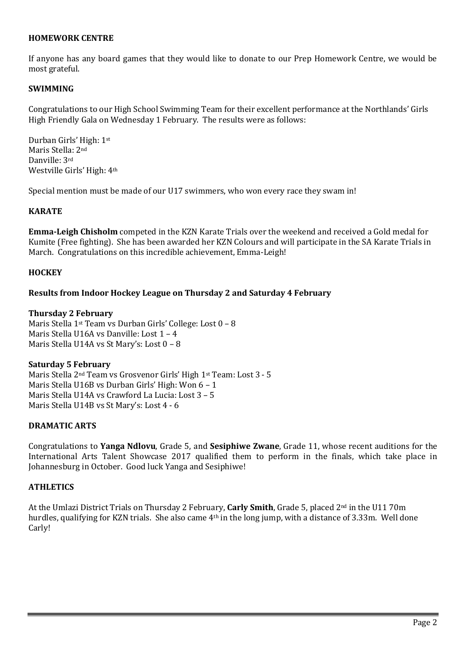#### **HOMEWORK CENTRE**

If anyone has any board games that they would like to donate to our Prep Homework Centre, we would be most grateful.

#### **SWIMMING**

Congratulations to our High School Swimming Team for their excellent performance at the Northlands' Girls High Friendly Gala on Wednesday 1 February. The results were as follows:

Durban Girls' High: 1st Maris Stella: 2nd Danville: 3rd Westville Girls' High: 4th

Special mention must be made of our U17 swimmers, who won every race they swam in!

#### **KARATE**

**Emma-Leigh Chisholm** competed in the KZN Karate Trials over the weekend and received a Gold medal for Kumite (Free fighting). She has been awarded her KZN Colours and will participate in the SA Karate Trials in March. Congratulations on this incredible achievement, Emma-Leigh!

#### **HOCKEY**

#### **Results from Indoor Hockey League on Thursday 2 and Saturday 4 February**

#### **Thursday 2 February**

Maris Stella 1st Team vs Durban Girls' College: Lost 0 – 8 Maris Stella U16A vs Danville: Lost 1 – 4 Maris Stella U14A vs St Mary's: Lost 0 – 8

#### **Saturday 5 February**

Maris Stella 2nd Team vs Grosvenor Girls' High 1st Team: Lost 3 - 5 Maris Stella U16B vs Durban Girls' High: Won 6 – 1 Maris Stella U14A vs Crawford La Lucia: Lost 3 – 5 Maris Stella U14B vs St Mary's: Lost 4 - 6

#### **DRAMATIC ARTS**

Congratulations to **Yanga Ndlovu**, Grade 5, and **Sesiphiwe Zwane**, Grade 11, whose recent auditions for the International Arts Talent Showcase 2017 qualified them to perform in the finals, which take place in Johannesburg in October. Good luck Yanga and Sesiphiwe!

#### **ATHLETICS**

At the Umlazi District Trials on Thursday 2 February, **Carly Smith**, Grade 5, placed 2nd in the U11 70m hurdles, qualifying for KZN trials. She also came 4th in the long jump, with a distance of 3.33m. Well done Carly!